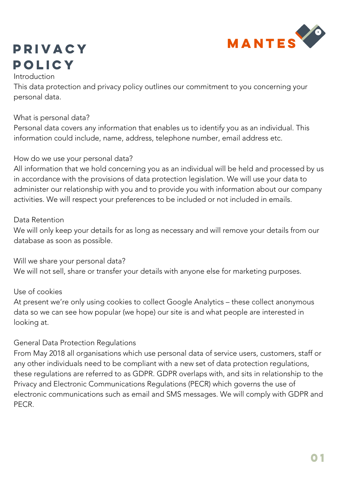

# Privacy policy

#### Introduction

This data protection and privacy policy outlines our commitment to you concerning your personal data.

#### What is personal data?

Personal data covers any information that enables us to identify you as an individual. This information could include, name, address, telephone number, email address etc.

#### How do we use your personal data?

All information that we hold concerning you as an individual will be held and processed by us in accordance with the provisions of data protection legislation. We will use your data to administer our relationship with you and to provide you with information about our company activities. We will respect your preferences to be included or not included in emails.

#### Data Retention

We will only keep your details for as long as necessary and will remove your details from our database as soon as possible.

Will we share your personal data? We will not sell, share or transfer your details with anyone else for marketing purposes.

### Use of cookies

At present we're only using cookies to collect Google Analytics – these collect anonymous data so we can see how popular (we hope) our site is and what people are interested in looking at.

### General Data Protection Regulations

From May 2018 all organisations which use personal data of service users, customers, staff or any other individuals need to be compliant with a new set of data protection regulations, these regulations are referred to as GDPR. GDPR overlaps with, and sits in relationship to the Privacy and Electronic Communications Regulations (PECR) which governs the use of electronic communications such as email and SMS messages. We will comply with GDPR and PECR.